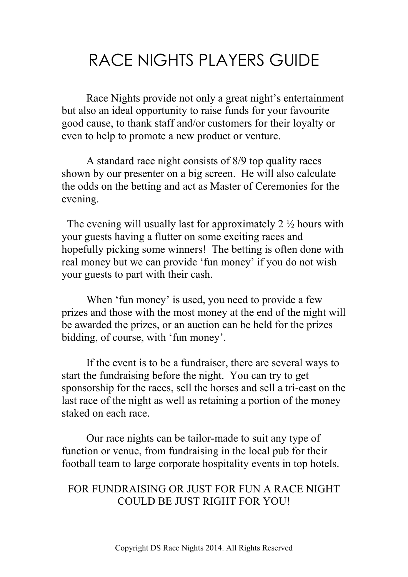# RACE NIGHTS PLAYERS GUIDE

Race Nights provide not only a great night's entertainment but also an ideal opportunity to raise funds for your favourite good cause, to thank staff and/or customers for their loyalty or even to help to promote a new product or venture.

A standard race night consists of 8/9 top quality races shown by our presenter on a big screen. He will also calculate the odds on the betting and act as Master of Ceremonies for the evening.

The evening will usually last for approximately  $2 \frac{1}{2}$  hours with your guests having a flutter on some exciting races and hopefully picking some winners! The betting is often done with real money but we can provide 'fun money' if you do not wish your guests to part with their cash.

When 'fun money' is used, you need to provide a few prizes and those with the most money at the end of the night will be awarded the prizes, or an auction can be held for the prizes bidding, of course, with 'fun money'.

If the event is to be a fundraiser, there are several ways to start the fundraising before the night. You can try to get sponsorship for the races, sell the horses and sell a tri-cast on the last race of the night as well as retaining a portion of the money staked on each race.

Our race nights can be tailor-made to suit any type of function or venue, from fundraising in the local pub for their football team to large corporate hospitality events in top hotels.

## FOR FUNDRAISING OR JUST FOR FUN A RACE NIGHT COULD BE JUST RIGHT FOR YOU!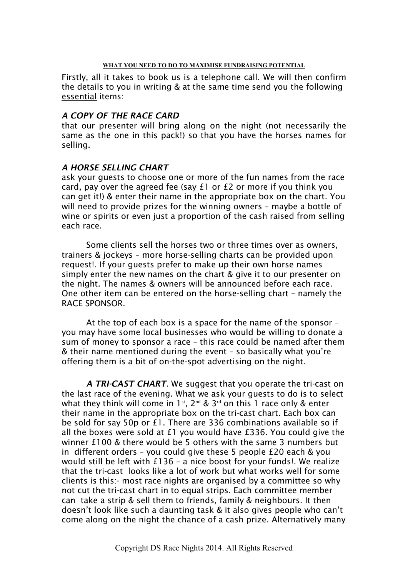#### WHAT YOU NEED TO DO TO MAXIMISE FUNDRAISING POTENTIAL

Firstly, all it takes to book us is a telephone call. We will then confirm the details to you in writing & at the same time send you the following essential items:

### *A COPY OF THE RACE CARD*

that our presenter will bring along on the night (not necessarily the same as the one in this pack!) so that you have the horses names for selling.

### *A HORSE SELLING CHART*

ask your guests to choose one or more of the fun names from the race card, pay over the agreed fee (say £1 or £2 or more if you think you can get it!) & enter their name in the appropriate box on the chart. You will need to provide prizes for the winning owners – maybe a bottle of wine or spirits or even just a proportion of the cash raised from selling each race.

Some clients sell the horses two or three times over as owners, trainers & jockeys – more horse-selling charts can be provided upon request!. If your guests prefer to make up their own horse names simply enter the new names on the chart & give it to our presenter on the night. The names & owners will be announced before each race. One other item can be entered on the horse-selling chart – namely the RACE SPONSOR.

At the top of each box is a space for the name of the sponsor – you may have some local businesses who would be willing to donate a sum of money to sponsor a race – this race could be named after them & their name mentioned during the event – so basically what you're offering them is a bit of on-the-spot advertising on the night.

*A TRI-CAST CHART*. We suggest that you operate the tri-cast on the last race of the evening. What we ask your guests to do is to select what they think will come in 1<sup>st</sup>,  $2^{nd}$  &  $3^{rd}$  on this 1 race only & enter their name in the appropriate box on the tri-cast chart. Each box can be sold for say 50p or £1. There are 336 combinations available so if all the boxes were sold at £1 you would have £336. You could give the winner £100 & there would be 5 others with the same 3 numbers but in different orders – you could give these 5 people £20 each & you would still be left with £136 – a nice boost for your funds!. We realize that the tri-cast looks like a lot of work but what works well for some clients is this:- most race nights are organised by a committee so why not cut the tri-cast chart in to equal strips. Each committee member can take a strip & sell them to friends, family & neighbours. It then doesn't look like such a daunting task & it also gives people who can't come along on the night the chance of a cash prize. Alternatively many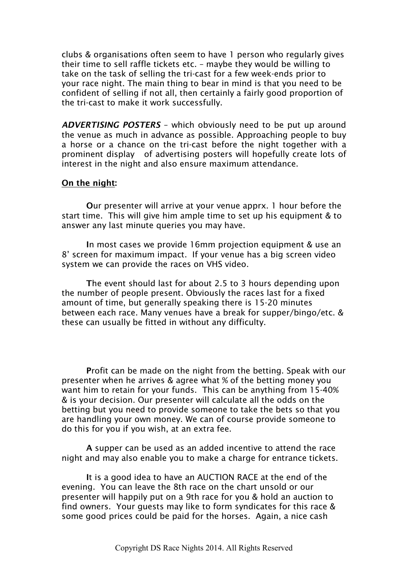clubs & organisations often seem to have 1 person who regularly gives their time to sell raffle tickets etc. – maybe they would be willing to take on the task of selling the tri-cast for a few week-ends prior to your race night. The main thing to bear in mind is that you need to be confident of selling if not all, then certainly a fairly good proportion of the tri-cast to make it work successfully.

*ADVERTISING POSTERS* – which obviously need to be put up around the venue as much in advance as possible. Approaching people to buy a horse or a chance on the tri-cast before the night together with a prominent display of advertising posters will hopefully create lots of interest in the night and also ensure maximum attendance.

#### On the night:

Our presenter will arrive at your venue apprx. 1 hour before the start time. This will give him ample time to set up his equipment & to answer any last minute queries you may have.

In most cases we provide 16mm projection equipment & use an 8' screen for maximum impact. If your venue has a big screen video system we can provide the races on VHS video.

The event should last for about 2.5 to 3 hours depending upon the number of people present. Obviously the races last for a fixed amount of time, but generally speaking there is 15-20 minutes between each race. Many venues have a break for supper/bingo/etc. & these can usually be fitted in without any difficulty.

Profit can be made on the night from the betting. Speak with our presenter when he arrives & agree what % of the betting money you want him to retain for your funds. This can be anything from 15-40% & is your decision. Our presenter will calculate all the odds on the betting but you need to provide someone to take the bets so that you are handling your own money. We can of course provide someone to do this for you if you wish, at an extra fee.

A supper can be used as an added incentive to attend the race night and may also enable you to make a charge for entrance tickets.

It is a good idea to have an AUCTION RACE at the end of the evening. You can leave the 8th race on the chart unsold or our presenter will happily put on a 9th race for you & hold an auction to find owners. Your guests may like to form syndicates for this race & some good prices could be paid for the horses. Again, a nice cash